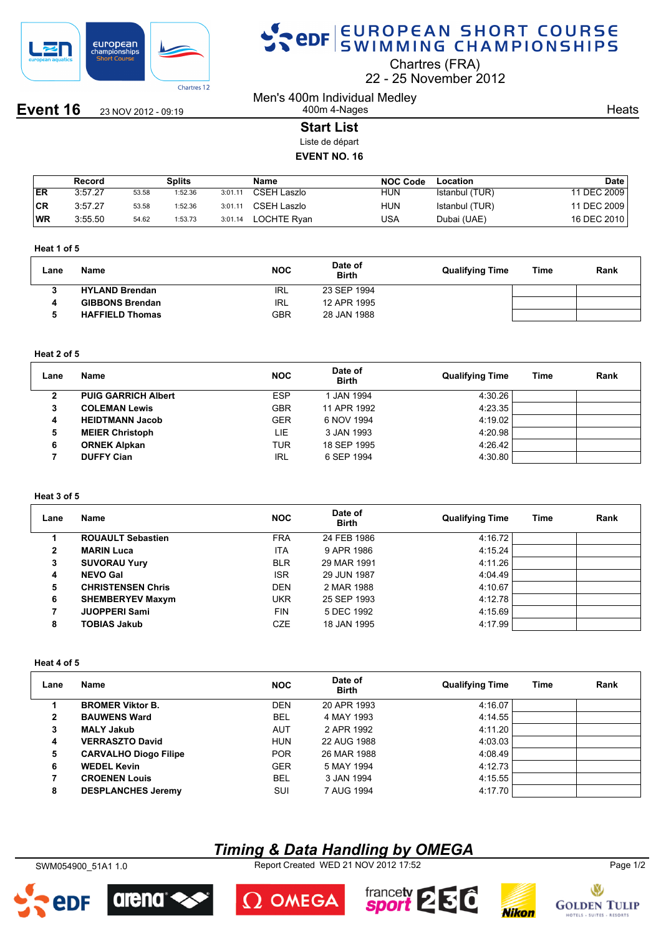

**Event 16** 23 NOV 2012 - 09:19

# SPOR EUROPEAN SHORT COURSE

Chartres (FRA)

22 25 November 2012

Men's 400m Individual Medley 400m 4-Nages

**Heats** 

# **Start List**

Liste de départ

## **EVENT NO. 16**

|     | Record  |       | Splits  |         | Name               | NOC Code   | Location       | Date          |
|-----|---------|-------|---------|---------|--------------------|------------|----------------|---------------|
| ER  | 3:57.27 | 53.58 | 1:52.36 | 3:01.11 | CSEH Laszlo        | <b>HUN</b> | Istanbul (TUR) | 11 DEC 2009 i |
| ∣CR | 3:57.27 | 53.58 | 1:52.36 | 3:01.11 | CSEH Laszlo        | HUN        | Istanbul (TUR) | 11 DEC 2009   |
| 'WR | 3:55.50 | 54.62 | 1:53.73 | 3:01.14 | <b>LOCHTE Rvan</b> | USA        | Dubai (UAE)    | 16 DEC 2010   |

#### **Heat 1 of 5**

| Lane | Name                   | <b>NOC</b> | Date of<br><b>Birth</b> | <b>Qualifying Time</b> | Time | Rank |
|------|------------------------|------------|-------------------------|------------------------|------|------|
|      | <b>HYLAND Brendan</b>  | IRL        | 23 SEP 1994             |                        |      |      |
|      | <b>GIBBONS Brendan</b> | IRL        | 12 APR 1995             |                        |      |      |
|      | <b>HAFFIELD Thomas</b> | GBR        | 28 JAN 1988             |                        |      |      |

### **Heat 2 of 5**

| Lane | Name                       | <b>NOC</b> | Date of<br><b>Birth</b> | <b>Qualifying Time</b> | Time | Rank |
|------|----------------------------|------------|-------------------------|------------------------|------|------|
| 2    | <b>PUIG GARRICH Albert</b> | <b>ESP</b> | 1 JAN 1994              | 4:30.26                |      |      |
| 3    | <b>COLEMAN Lewis</b>       | <b>GBR</b> | 11 APR 1992             | 4:23.35                |      |      |
| 4    | <b>HEIDTMANN Jacob</b>     | <b>GER</b> | 6 NOV 1994              | 4:19.02                |      |      |
| 5    | <b>MEIER Christoph</b>     | LIE        | 3 JAN 1993              | 4:20.98                |      |      |
| 6    | <b>ORNEK Alpkan</b>        | <b>TUR</b> | 18 SEP 1995             | 4:26.42                |      |      |
|      | <b>DUFFY Cian</b>          | <b>IRL</b> | 6 SEP 1994              | 4:30.80                |      |      |

## **Heat 3 of 5**

| Lane         | Name                     | <b>NOC</b> | Date of<br><b>Birth</b> | <b>Qualifying Time</b> | Time | Rank |
|--------------|--------------------------|------------|-------------------------|------------------------|------|------|
|              | <b>ROUAULT Sebastien</b> | <b>FRA</b> | 24 FEB 1986             | 4:16.72                |      |      |
| $\mathbf{2}$ | <b>MARIN Luca</b>        | <b>ITA</b> | 9 APR 1986              | 4:15.24                |      |      |
| 3            | <b>SUVORAU Yury</b>      | <b>BLR</b> | 29 MAR 1991             | 4:11.26                |      |      |
| 4            | <b>NEVO Gal</b>          | <b>ISR</b> | 29 JUN 1987             | 4:04.49                |      |      |
| 5            | <b>CHRISTENSEN Chris</b> | <b>DEN</b> | 2 MAR 1988              | 4:10.67                |      |      |
| 6            | <b>SHEMBERYEV Maxym</b>  | <b>UKR</b> | 25 SEP 1993             | 4:12.78                |      |      |
| 7            | <b>JUOPPERI Sami</b>     | <b>FIN</b> | 5 DEC 1992              | 4:15.69                |      |      |
| 8            | <b>TOBIAS Jakub</b>      | <b>CZE</b> | 18 JAN 1995             | 4:17.99                |      |      |

#### **Heat 4 of 5**

| Lane | <b>Name</b>                  | <b>NOC</b> | Date of<br><b>Birth</b> | <b>Qualifying Time</b> | Time | Rank |
|------|------------------------------|------------|-------------------------|------------------------|------|------|
|      | <b>BROMER Viktor B.</b>      | <b>DEN</b> | 20 APR 1993             | 4:16.07                |      |      |
| 2    | <b>BAUWENS Ward</b>          | <b>BEL</b> | 4 MAY 1993              | 4:14.55                |      |      |
| 3    | <b>MALY Jakub</b>            | AUT        | 2 APR 1992              | 4:11.20                |      |      |
| 4    | <b>VERRASZTO David</b>       | <b>HUN</b> | 22 AUG 1988             | 4:03.03                |      |      |
| 5    | <b>CARVALHO Diogo Filipe</b> | <b>POR</b> | 26 MAR 1988             | 4:08.49                |      |      |
| 6    | <b>WEDEL Kevin</b>           | <b>GER</b> | 5 MAY 1994              | 4:12.73                |      |      |
|      | <b>CROENEN Louis</b>         | <b>BEL</b> | 3 JAN 1994              | 4:15.55                |      |      |
| 8    | <b>DESPLANCHES Jeremy</b>    | <b>SUI</b> | 7 AUG 1994              | 4:17.70                |      |      |

# *Timing & Data Handling by OMEGA*

SWM054900\_51A1 1.0 Report Created WED 21 NOV 2012 17:52 Page 1/2